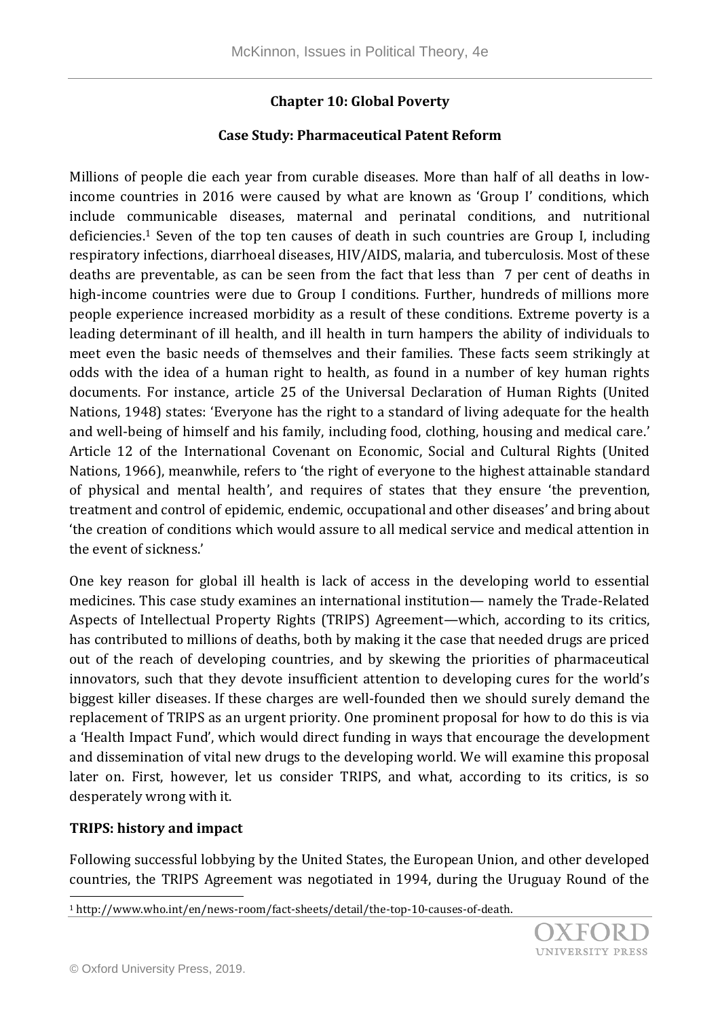### **Chapter 10: Global Poverty**

#### **Case Study: Pharmaceutical Patent Reform**

Millions of people die each year from curable diseases. More than half of all deaths in lowincome countries in 2016 were caused by what are known as 'Group I' conditions, which include communicable diseases, maternal and perinatal conditions, and nutritional deficiencies.<sup>1</sup> Seven of the top ten causes of death in such countries are Group I, including respiratory infections, diarrhoeal diseases, HIV/AIDS, malaria, and tuberculosis. Most of these deaths are preventable, as can be seen from the fact that less than 7 per cent of deaths in high-income countries were due to Group I conditions. Further, hundreds of millions more people experience increased morbidity as a result of these conditions. Extreme poverty is a leading determinant of ill health, and ill health in turn hampers the ability of individuals to meet even the basic needs of themselves and their families. These facts seem strikingly at odds with the idea of a human right to health, as found in a number of key human rights documents. For instance, article 25 of the Universal Declaration of Human Rights (United Nations, 1948) states: 'Everyone has the right to a standard of living adequate for the health and well-being of himself and his family, including food, clothing, housing and medical care.' Article 12 of the International Covenant on Economic, Social and Cultural Rights (United Nations, 1966), meanwhile, refers to 'the right of everyone to the highest attainable standard of physical and mental health', and requires of states that they ensure 'the prevention, treatment and control of epidemic, endemic, occupational and other diseases' and bring about 'the creation of conditions which would assure to all medical service and medical attention in the event of sickness.'

One key reason for global ill health is lack of access in the developing world to essential medicines. This case study examines an international institution— namely the Trade-Related Aspects of Intellectual Property Rights (TRIPS) Agreement—which, according to its critics, has contributed to millions of deaths, both by making it the case that needed drugs are priced out of the reach of developing countries, and by skewing the priorities of pharmaceutical innovators, such that they devote insufficient attention to developing cures for the world's biggest killer diseases. If these charges are well-founded then we should surely demand the replacement of TRIPS as an urgent priority. One prominent proposal for how to do this is via a 'Health Impact Fund', which would direct funding in ways that encourage the development and dissemination of vital new drugs to the developing world. We will examine this proposal later on. First, however, let us consider TRIPS, and what, according to its critics, is so desperately wrong with it.

#### **TRIPS: history and impact**

l

Following successful lobbying by the United States, the European Union, and other developed countries, the TRIPS Agreement was negotiated in 1994, during the Uruguay Round of the

<sup>1</sup> http://www.who.int/en/news-room/fact-sheets/detail/the-top-10-causes-of-death.

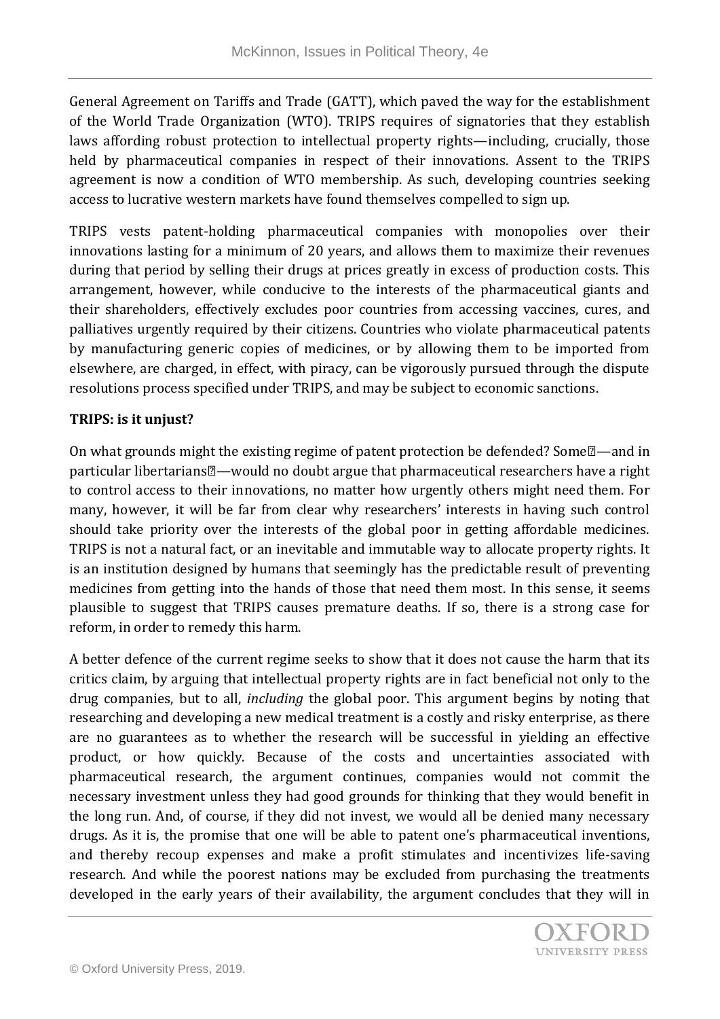General Agreement on Tariffs and Trade (GATT), which paved the way for the establishment of the World Trade Organization (WTO). TRIPS requires of signatories that they establish laws affording robust protection to intellectual property rights—including, crucially, those held by pharmaceutical companies in respect of their innovations. Assent to the TRIPS agreement is now a condition of WTO membership. As such, developing countries seeking access to lucrative western markets have found themselves compelled to sign up.

TRIPS vests patent-holding pharmaceutical companies with monopolies over their innovations lasting for a minimum of 20 years, and allows them to maximize their revenues during that period by selling their drugs at prices greatly in excess of production costs. This arrangement, however, while conducive to the interests of the pharmaceutical giants and their shareholders, effectively excludes poor countries from accessing vaccines, cures, and palliatives urgently required by their citizens. Countries who violate pharmaceutical patents by manufacturing generic copies of medicines, or by allowing them to be imported from elsewhere, are charged, in effect, with piracy, can be vigorously pursued through the dispute resolutions process specified under TRIPS, and may be subject to economic sanctions.

#### **TRIPS: is it unjust?**

On what grounds might the existing regime of patent protection be defended? Some  $\mathbb{Z}$ —and in particular libertarians—would no doubt argue that pharmaceutical researchers have a right to control access to their innovations, no matter how urgently others might need them. For many, however, it will be far from clear why researchers' interests in having such control should take priority over the interests of the global poor in getting affordable medicines. TRIPS is not a natural fact, or an inevitable and immutable way to allocate property rights. It is an institution designed by humans that seemingly has the predictable result of preventing medicines from getting into the hands of those that need them most. In this sense, it seems plausible to suggest that TRIPS causes premature deaths. If so, there is a strong case for reform, in order to remedy this harm.

A better defence of the current regime seeks to show that it does not cause the harm that its critics claim, by arguing that intellectual property rights are in fact beneficial not only to the drug companies, but to all, *including* the global poor. This argument begins by noting that researching and developing a new medical treatment is a costly and risky enterprise, as there are no guarantees as to whether the research will be successful in yielding an effective product, or how quickly. Because of the costs and uncertainties associated with pharmaceutical research, the argument continues, companies would not commit the necessary investment unless they had good grounds for thinking that they would benefit in the long run. And, of course, if they did not invest, we would all be denied many necessary drugs. As it is, the promise that one will be able to patent one's pharmaceutical inventions, and thereby recoup expenses and make a profit stimulates and incentivizes life-saving research. And while the poorest nations may be excluded from purchasing the treatments developed in the early years of their availability, the argument concludes that they will in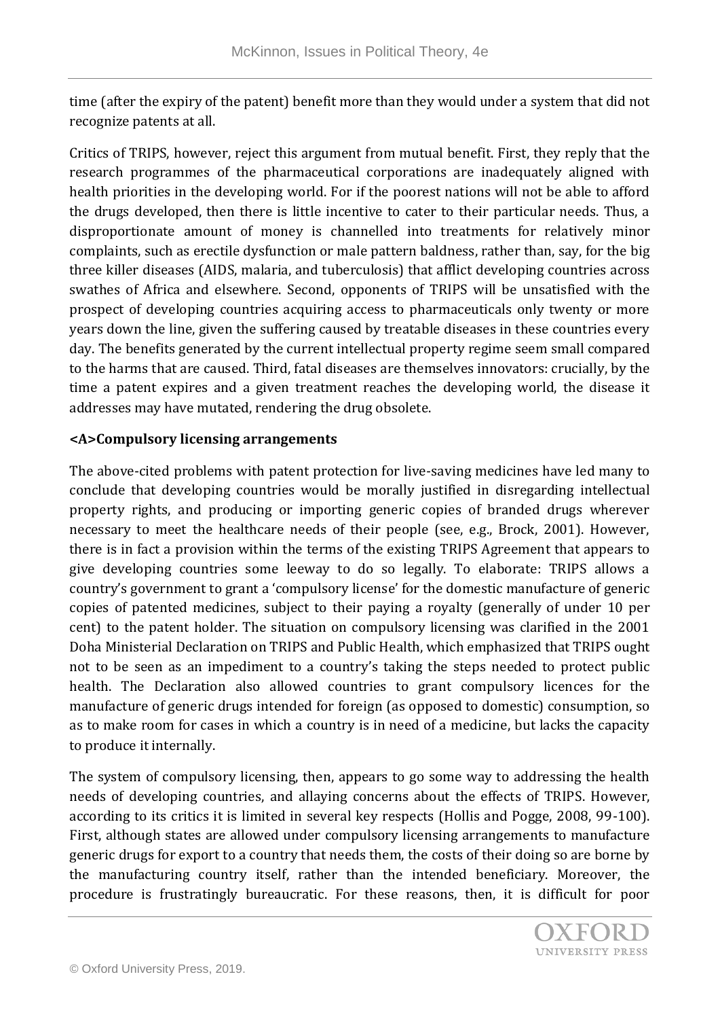time (after the expiry of the patent) benefit more than they would under a system that did not recognize patents at all.

Critics of TRIPS, however, reject this argument from mutual benefit. First, they reply that the research programmes of the pharmaceutical corporations are inadequately aligned with health priorities in the developing world. For if the poorest nations will not be able to afford the drugs developed, then there is little incentive to cater to their particular needs. Thus, a disproportionate amount of money is channelled into treatments for relatively minor complaints, such as erectile dysfunction or male pattern baldness, rather than, say, for the big three killer diseases (AIDS, malaria, and tuberculosis) that afflict developing countries across swathes of Africa and elsewhere. Second, opponents of TRIPS will be unsatisfied with the prospect of developing countries acquiring access to pharmaceuticals only twenty or more years down the line, given the suffering caused by treatable diseases in these countries every day. The benefits generated by the current intellectual property regime seem small compared to the harms that are caused. Third, fatal diseases are themselves innovators: crucially, by the time a patent expires and a given treatment reaches the developing world, the disease it addresses may have mutated, rendering the drug obsolete.

## **<A>Compulsory licensing arrangements**

The above-cited problems with patent protection for live-saving medicines have led many to conclude that developing countries would be morally justified in disregarding intellectual property rights, and producing or importing generic copies of branded drugs wherever necessary to meet the healthcare needs of their people (see, e.g., Brock, 2001). However, there is in fact a provision within the terms of the existing TRIPS Agreement that appears to give developing countries some leeway to do so legally. To elaborate: TRIPS allows a country's government to grant a 'compulsory license' for the domestic manufacture of generic copies of patented medicines, subject to their paying a royalty (generally of under 10 per cent) to the patent holder. The situation on compulsory licensing was clarified in the 2001 Doha Ministerial Declaration on TRIPS and Public Health, which emphasized that TRIPS ought not to be seen as an impediment to a country's taking the steps needed to protect public health. The Declaration also allowed countries to grant compulsory licences for the manufacture of generic drugs intended for foreign (as opposed to domestic) consumption, so as to make room for cases in which a country is in need of a medicine, but lacks the capacity to produce it internally.

The system of compulsory licensing, then, appears to go some way to addressing the health needs of developing countries, and allaying concerns about the effects of TRIPS. However, according to its critics it is limited in several key respects (Hollis and Pogge, 2008, 99-100). First, although states are allowed under compulsory licensing arrangements to manufacture generic drugs for export to a country that needs them, the costs of their doing so are borne by the manufacturing country itself, rather than the intended beneficiary. Moreover, the procedure is frustratingly bureaucratic. For these reasons, then, it is difficult for poor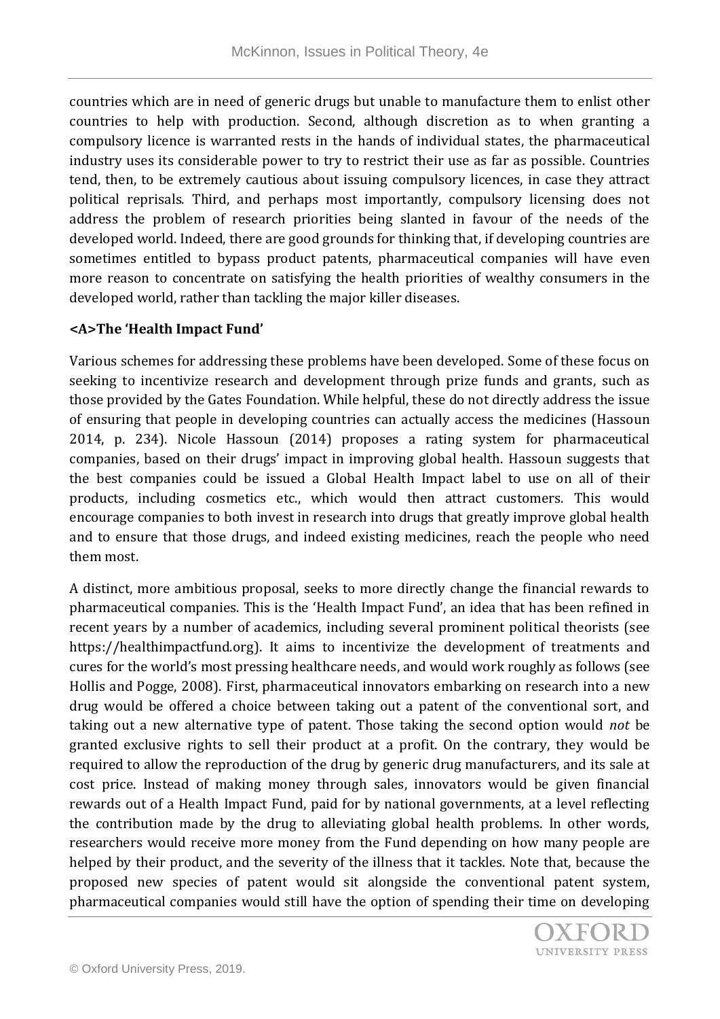countries which are in need of generic drugs but unable to manufacture them to enlist other countries to help with production. Second, although discretion as to when granting a compulsory licence is warranted rests in the hands of individual states, the pharmaceutical industry uses its considerable power to try to restrict their use as far as possible. Countries tend, then, to be extremely cautious about issuing compulsory licences, in case they attract political reprisals. Third, and perhaps most importantly, compulsory licensing does not address the problem of research priorities being slanted in favour of the needs of the developed world. Indeed, there are good grounds for thinking that, if developing countries are sometimes entitled to bypass product patents, pharmaceutical companies will have even more reason to concentrate on satisfying the health priorities of wealthy consumers in the developed world, rather than tackling the major killer diseases.

## **<A>The 'Health Impact Fund'**

Various schemes for addressing these problems have been developed. Some of these focus on seeking to incentivize research and development through prize funds and grants, such as those provided by the Gates Foundation. While helpful, these do not directly address the issue of ensuring that people in developing countries can actually access the medicines (Hassoun 2014, p. 234). Nicole Hassoun (2014) proposes a rating system for pharmaceutical companies, based on their drugs' impact in improving global health. Hassoun suggests that the best companies could be issued a Global Health Impact label to use on all of their products, including cosmetics etc., which would then attract customers. This would encourage companies to both invest in research into drugs that greatly improve global health and to ensure that those drugs, and indeed existing medicines, reach the people who need them most.

A distinct, more ambitious proposal, seeks to more directly change the financial rewards to pharmaceutical companies. This is the 'Health Impact Fund', an idea that has been refined in recent years by a number of academics, including several prominent political theorists (see https://healthimpactfund.org). It aims to incentivize the development of treatments and cures for the world's most pressing healthcare needs, and would work roughly as follows (see Hollis and Pogge, 2008). First, pharmaceutical innovators embarking on research into a new drug would be offered a choice between taking out a patent of the conventional sort, and taking out a new alternative type of patent. Those taking the second option would *not* be granted exclusive rights to sell their product at a profit. On the contrary, they would be required to allow the reproduction of the drug by generic drug manufacturers, and its sale at cost price. Instead of making money through sales, innovators would be given financial rewards out of a Health Impact Fund, paid for by national governments, at a level reflecting the contribution made by the drug to alleviating global health problems. In other words, researchers would receive more money from the Fund depending on how many people are helped by their product, and the severity of the illness that it tackles. Note that, because the proposed new species of patent would sit alongside the conventional patent system, pharmaceutical companies would still have the option of spending their time on developing

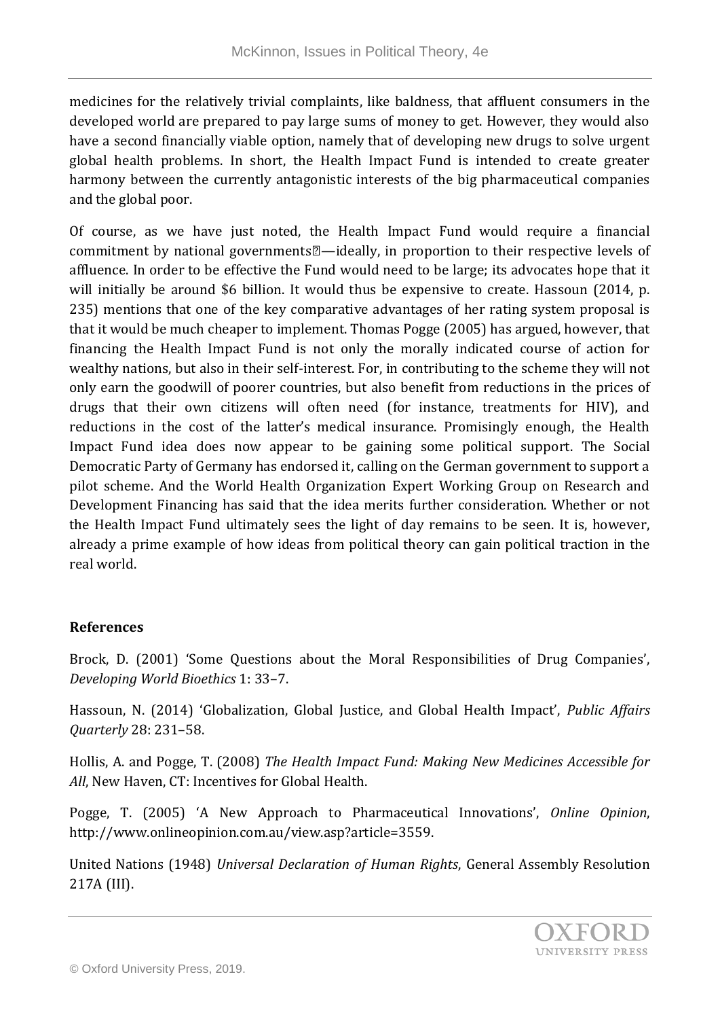medicines for the relatively trivial complaints, like baldness, that affluent consumers in the developed world are prepared to pay large sums of money to get. However, they would also have a second financially viable option, namely that of developing new drugs to solve urgent global health problems. In short, the Health Impact Fund is intended to create greater harmony between the currently antagonistic interests of the big pharmaceutical companies and the global poor.

Of course, as we have just noted, the Health Impact Fund would require a financial commitment by national governments $\mathbb{Z}$ —ideally, in proportion to their respective levels of affluence. In order to be effective the Fund would need to be large; its advocates hope that it will initially be around \$6 billion. It would thus be expensive to create. Hassoun (2014, p. 235) mentions that one of the key comparative advantages of her rating system proposal is that it would be much cheaper to implement. Thomas Pogge (2005) has argued, however, that financing the Health Impact Fund is not only the morally indicated course of action for wealthy nations, but also in their self-interest. For, in contributing to the scheme they will not only earn the goodwill of poorer countries, but also benefit from reductions in the prices of drugs that their own citizens will often need (for instance, treatments for HIV), and reductions in the cost of the latter's medical insurance. Promisingly enough, the Health Impact Fund idea does now appear to be gaining some political support. The Social Democratic Party of Germany has endorsed it, calling on the German government to support a pilot scheme. And the World Health Organization Expert Working Group on Research and Development Financing has said that the idea merits further consideration. Whether or not the Health Impact Fund ultimately sees the light of day remains to be seen. It is, however, already a prime example of how ideas from political theory can gain political traction in the real world.

# **References**

Brock, D. (2001) 'Some Questions about the Moral Responsibilities of Drug Companies', *Developing World Bioethics* 1: 33–7.

Hassoun, N. (2014) 'Globalization, Global Justice, and Global Health Impact', *Public Affairs Quarterly* 28: 231–58.

Hollis, A. and Pogge, T. (2008) *The Health Impact Fund: Making New Medicines Accessible for All*, New Haven, CT: Incentives for Global Health.

Pogge, T. (2005) 'A New Approach to Pharmaceutical Innovations', *Online Opinion*, http://www.onlineopinion.com.au/view.asp?article=3559.

United Nations (1948) *Universal Declaration of Human Rights*, General Assembly Resolution 217A (III).